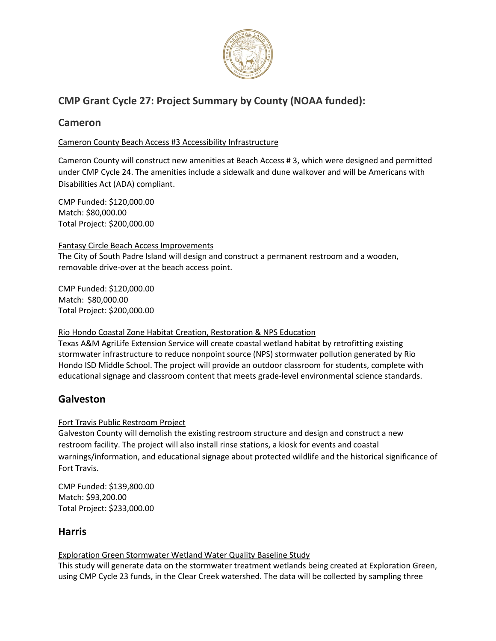

# **CMP Grant Cycle 27: Project Summary by County (NOAA funded):**

# **Cameron**

### Cameron County Beach Access #3 Accessibility Infrastructure

Cameron County will construct new amenities at Beach Access # 3, which were designed and permitted under CMP Cycle 24. The amenities include a sidewalk and dune walkover and will be Americans with Disabilities Act (ADA) compliant.

CMP Funded: \$120,000.00 Match: \$80,000.00 Total Project: \$200,000.00

### Fantasy Circle Beach Access Improvements

The City of South Padre Island will design and construct a permanent restroom and a wooden, removable drive-over at the beach access point.

CMP Funded: \$120,000.00 Match: \$80,000.00 Total Project: \$200,000.00

### Rio Hondo Coastal Zone Habitat Creation, Restoration & NPS Education

Texas A&M AgriLife Extension Service will create coastal wetland habitat by retrofitting existing stormwater infrastructure to reduce nonpoint source (NPS) stormwater pollution generated by Rio Hondo ISD Middle School. The project will provide an outdoor classroom for students, complete with educational signage and classroom content that meets grade-level environmental science standards.

# **Galveston**

### Fort Travis Public Restroom Project

Galveston County will demolish the existing restroom structure and design and construct a new restroom facility. The project will also install rinse stations, a kiosk for events and coastal warnings/information, and educational signage about protected wildlife and the historical significance of Fort Travis.

CMP Funded: \$139,800.00 Match: \$93,200.00 Total Project: \$233,000.00

# **Harris**

### Exploration Green Stormwater Wetland Water Quality Baseline Study

This study will generate data on the stormwater treatment wetlands being created at Exploration Green, using CMP Cycle 23 funds, in the Clear Creek watershed. The data will be collected by sampling three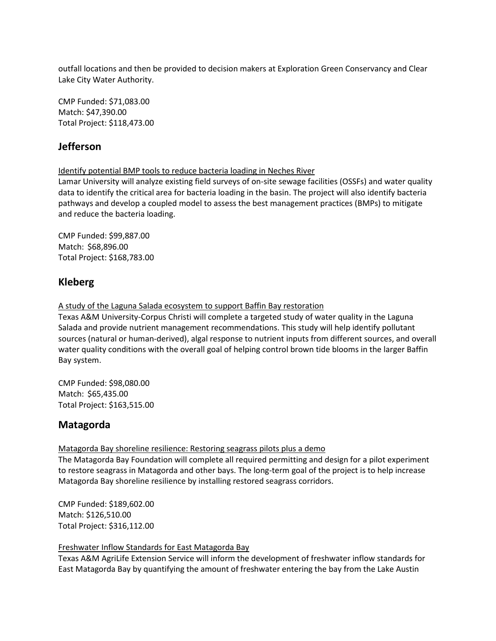outfall locations and then be provided to decision makers at Exploration Green Conservancy and Clear Lake City Water Authority.

CMP Funded: \$71,083.00 Match: \$47,390.00 Total Project: \$118,473.00

# **Jefferson**

Identify potential BMP tools to reduce bacteria loading in Neches River

Lamar University will analyze existing field surveys of on-site sewage facilities (OSSFs) and water quality data to identify the critical area for bacteria loading in the basin. The project will also identify bacteria pathways and develop a coupled model to assess the best management practices (BMPs) to mitigate and reduce the bacteria loading.

CMP Funded: \$99,887.00 Match: \$68,896.00 Total Project: \$168,783.00

# **Kleberg**

A study of the Laguna Salada ecosystem to support Baffin Bay restoration

Texas A&M University-Corpus Christi will complete a targeted study of water quality in the Laguna Salada and provide nutrient management recommendations. This study will help identify pollutant sources (natural or human-derived), algal response to nutrient inputs from different sources, and overall water quality conditions with the overall goal of helping control brown tide blooms in the larger Baffin Bay system.

CMP Funded: \$98,080.00 Match: \$65,435.00 Total Project: \$163,515.00

# **Matagorda**

Matagorda Bay shoreline resilience: Restoring seagrass pilots plus a demo

The Matagorda Bay Foundation will complete all required permitting and design for a pilot experiment to restore seagrass in Matagorda and other bays. The long-term goal of the project is to help increase Matagorda Bay shoreline resilience by installing restored seagrass corridors.

CMP Funded: \$189,602.00 Match: \$126,510.00 Total Project: \$316,112.00

Freshwater Inflow Standards for East Matagorda Bay

Texas A&M AgriLife Extension Service will inform the development of freshwater inflow standards for East Matagorda Bay by quantifying the amount of freshwater entering the bay from the Lake Austin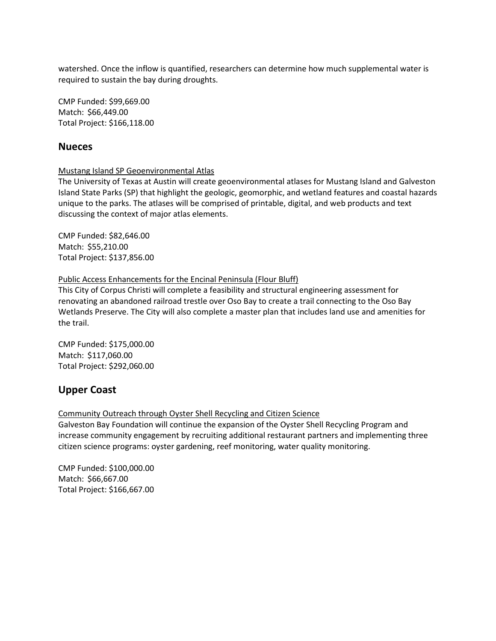watershed. Once the inflow is quantified, researchers can determine how much supplemental water is required to sustain the bay during droughts.

CMP Funded: \$99,669.00 Match: \$66,449.00 Total Project: \$166,118.00

### **Nueces**

#### Mustang Island SP Geoenvironmental Atlas

The University of Texas at Austin will create geoenvironmental atlases for Mustang Island and Galveston Island State Parks (SP) that highlight the geologic, geomorphic, and wetland features and coastal hazards unique to the parks. The atlases will be comprised of printable, digital, and web products and text discussing the context of major atlas elements.

CMP Funded: \$82,646.00 Match: \$55,210.00 Total Project: \$137,856.00

#### Public Access Enhancements for the Encinal Peninsula (Flour Bluff)

This City of Corpus Christi will complete a feasibility and structural engineering assessment for renovating an abandoned railroad trestle over Oso Bay to create a trail connecting to the Oso Bay Wetlands Preserve. The City will also complete a master plan that includes land use and amenities for the trail.

CMP Funded: \$175,000.00 Match: \$117,060.00 Total Project: \$292,060.00

# **Upper Coast**

#### Community Outreach through Oyster Shell Recycling and Citizen Science

Galveston Bay Foundation will continue the expansion of the Oyster Shell Recycling Program and increase community engagement by recruiting additional restaurant partners and implementing three citizen science programs: oyster gardening, reef monitoring, water quality monitoring.

CMP Funded: \$100,000.00 Match: \$66,667.00 Total Project: \$166,667.00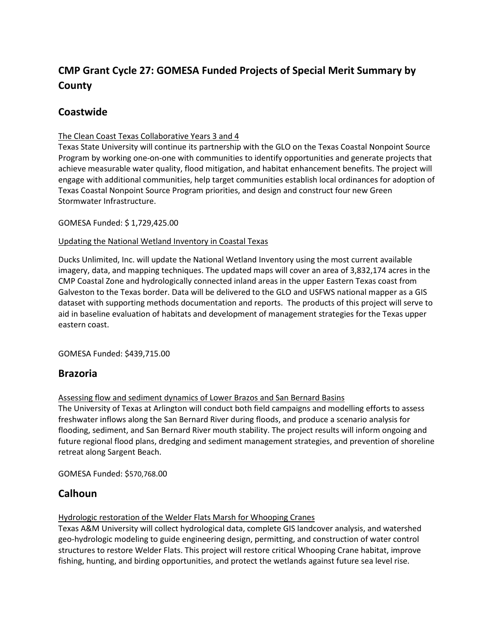# **CMP Grant Cycle 27: GOMESA Funded Projects of Special Merit Summary by County**

# **Coastwide**

### The Clean Coast Texas Collaborative Years 3 and 4

Texas State University will continue its partnership with the GLO on the Texas Coastal Nonpoint Source Program by working one-on-one with communities to identify opportunities and generate projects that achieve measurable water quality, flood mitigation, and habitat enhancement benefits. The project will engage with additional communities, help target communities establish local ordinances for adoption of Texas Coastal Nonpoint Source Program priorities, and design and construct four new Green Stormwater Infrastructure.

### GOMESA Funded: \$ 1,729,425.00

### Updating the National Wetland Inventory in Coastal Texas

Ducks Unlimited, Inc. will update the National Wetland Inventory using the most current available imagery, data, and mapping techniques. The updated maps will cover an area of 3,832,174 acres in the CMP Coastal Zone and hydrologically connected inland areas in the upper Eastern Texas coast from Galveston to the Texas border. Data will be delivered to the GLO and USFWS national mapper as a GIS dataset with supporting methods documentation and reports. The products of this project will serve to aid in baseline evaluation of habitats and development of management strategies for the Texas upper eastern coast.

GOMESA Funded: \$439,715.00

### **Brazoria**

### Assessing flow and sediment dynamics of Lower Brazos and San Bernard Basins

The University of Texas at Arlington will conduct both field campaigns and modelling efforts to assess freshwater inflows along the San Bernard River during floods, and produce a scenario analysis for flooding, sediment, and San Bernard River mouth stability. The project results will inform ongoing and future regional flood plans, dredging and sediment management strategies, and prevention of shoreline retreat along Sargent Beach.

GOMESA Funded: \$570,768.00

# **Calhoun**

Hydrologic restoration of the Welder Flats Marsh for Whooping Cranes

Texas A&M University will collect hydrological data, complete GIS landcover analysis, and watershed geo-hydrologic modeling to guide engineering design, permitting, and construction of water control structures to restore Welder Flats. This project will restore critical Whooping Crane habitat, improve fishing, hunting, and birding opportunities, and protect the wetlands against future sea level rise.